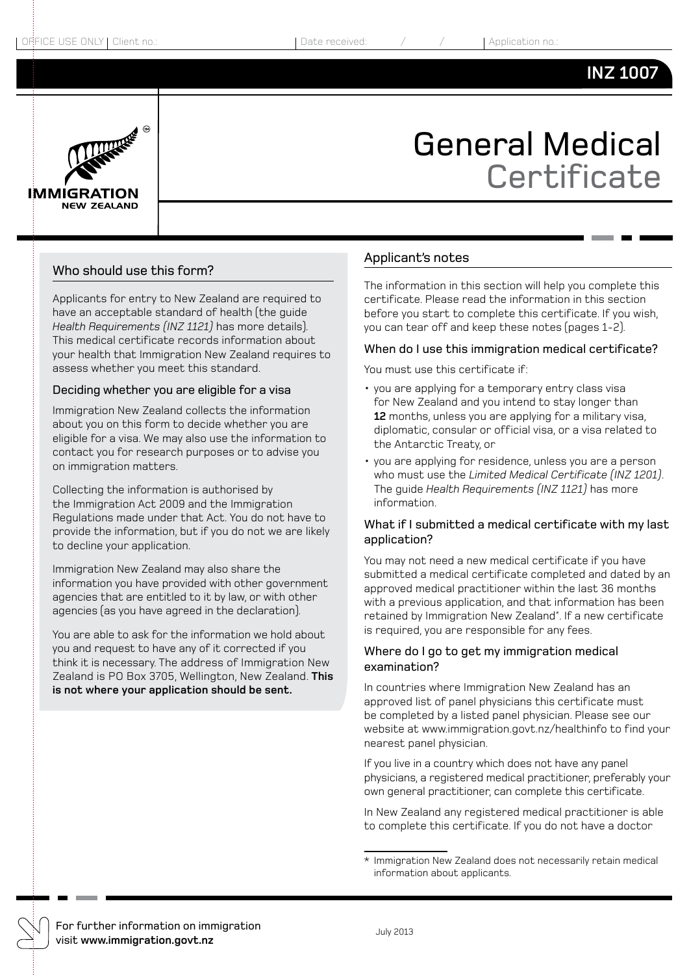### **INZ 1007**



# General Medical **Certificate**

#### Who should use this form?

Applicants for entry to New Zealand are required to have an acceptable standard of health (the guide *Health Requirements (INZ 1121)* has more details). This medical certificate records information about your health that Immigration New Zealand requires to assess whether you meet this standard.

#### Deciding whether you are eligible for a visa

Immigration New Zealand collects the information about you on this form to decide whether you are eligible for a visa. We may also use the information to contact you for research purposes or to advise you on immigration matters.

Collecting the information is authorised by the Immigration Act 2009 and the Immigration Regulations made under that Act. You do not have to provide the information, but if you do not we are likely to decline your application.

Immigration New Zealand may also share the information you have provided with other government agencies that are entitled to it by law, or with other agencies (as you have agreed in the declaration).

You are able to ask for the information we hold about you and request to have any of it corrected if you think it is necessary. The address of Immigration New Zealand is PO Box 3705, Wellington, New Zealand. **This is not where your application should be sent.**

#### Applicant's notes

The information in this section will help you complete this certificate. Please read the information in this section before you start to complete this certificate. If you wish, you can tear off and keep these notes (pages 1-2).

#### When do I use this immigration medical certificate?

You must use this certificate if:

- you are applying for a temporary entry class visa for New Zealand and you intend to stay longer than **12** months, unless you are applying for a military visa, diplomatic, consular or official visa, or a visa related to the Antarctic Treaty, or
- you are applying for residence, unless you are a person who must use the *Limited Medical Certificate (INZ 1201)*. The guide *Health Requirements (INZ 1121)* has more information.

#### What if I submitted a medical certificate with my last application?

You may not need a new medical certificate if you have submitted a medical certificate completed and dated by an approved medical practitioner within the last 36 months with a previous application, and that information has been retained by Immigration New Zealand\* . If a new certificate is required, you are responsible for any fees.

#### Where do I go to get my immigration medical examination?

In countries where Immigration New Zealand has an approved list of panel physicians this certificate must be completed by a listed panel physician. Please see our website at www.immigration.govt.nz/healthinfo to find your nearest panel physician.

If you live in a country which does not have any panel physicians, a registered medical practitioner, preferably your own general practitioner, can complete this certificate.

In New Zealand any registered medical practitioner is able to complete this certificate. If you do not have a doctor

For further information on immigration visit **www.immigration.govt.nz** July 2013

<sup>\*</sup> Immigration New Zealand does not necessarily retain medical information about applicants.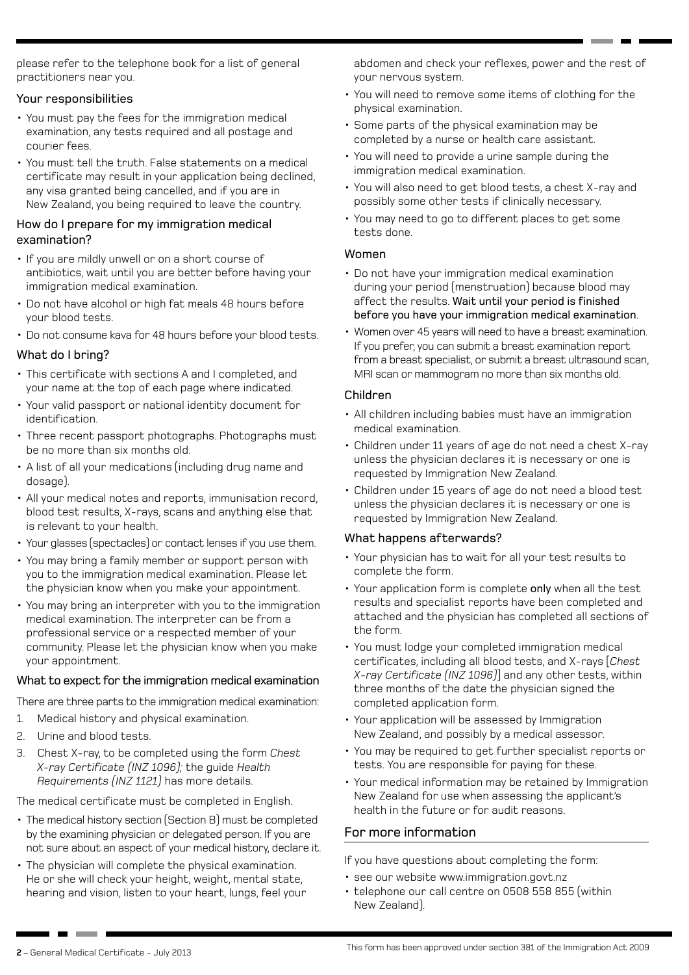please refer to the telephone book for a list of general practitioners near you.

#### Your responsibilities

- You must pay the fees for the immigration medical examination, any tests required and all postage and courier fees.
- • You must tell the truth. False statements on a medical certificate may result in your application being declined, any visa granted being cancelled, and if you are in New Zealand, you being required to leave the country.

#### How do I prepare for my immigration medical examination?

- If you are mildly unwell or on a short course of antibiotics, wait until you are better before having your immigration medical examination.
- Do not have alcohol or high fat meals 48 hours before your blood tests.
- Do not consume kava for 48 hours before your blood tests.

#### What do I bring?

- • This certificate with sections A and I completed, and your name at the top of each page where indicated.
- Your valid passport or national identity document for identification.
- Three recent passport photographs. Photographs must be no more than six months old.
- A list of all your medications (including drug name and dosage).
- All your medical notes and reports, immunisation record, blood test results, X-rays, scans and anything else that is relevant to your health.
- Your glasses (spectacles) or contact lenses if you use them.
- • You may bring a family member or support person with you to the immigration medical examination. Please let the physician know when you make your appointment.
- You may bring an interpreter with you to the immigration medical examination. The interpreter can be from a professional service or a respected member of your community. Please let the physician know when you make your appointment.

#### What to expect for the immigration medical examination

There are three parts to the immigration medical examination:

- 1. Medical history and physical examination.
- 2. Urine and blood tests.
- 3. Chest X-ray, to be completed using the form *Chest X-ray Certificate (INZ 1096);* the guide *Health Requirements (INZ 1121)* has more details.

The medical certificate must be completed in English.

- The medical history section (Section B) must be completed by the examining physician or delegated person. If you are not sure about an aspect of your medical history, declare it.
- The physician will complete the physical examination. He or she will check your height, weight, mental state, hearing and vision, listen to your heart, lungs, feel your

abdomen and check your reflexes, power and the rest of your nervous system.

- • You will need to remove some items of clothing for the physical examination.
- • Some parts of the physical examination may be completed by a nurse or health care assistant.
- • You will need to provide a urine sample during the immigration medical examination.
- • You will also need to get blood tests, a chest X-ray and possibly some other tests if clinically necessary.
- You may need to go to different places to get some tests done.

#### Women

- Do not have your immigration medical examination during your period (menstruation) because blood may affect the results. Wait until your period is finished before you have your immigration medical examination.
- Women over 45 years will need to have a breast examination. If you prefer, you can submit a breast examination report from a breast specialist, or submit a breast ultrasound scan, MRI scan or mammogram no more than six months old.

#### Children

- All children including babies must have an immigration medical examination.
- Children under 11 years of age do not need a chest X-ray unless the physician declares it is necessary or one is requested by Immigration New Zealand.
- • Children under 15 years of age do not need a blood test unless the physician declares it is necessary or one is requested by Immigration New Zealand.

#### What happens afterwards?

- • Your physician has to wait for all your test results to complete the form.
- Your application form is complete only when all the test results and specialist reports have been completed and attached and the physician has completed all sections of the form.
- You must lodge your completed immigration medical certificates, including all blood tests, and X-rays [*Chest X-ray Certificate (INZ 1096)*] and any other tests, within three months of the date the physician signed the completed application form.
- Your application will be assessed by Immigration New Zealand, and possibly by a medical assessor.
- • You may be required to get further specialist reports or tests. You are responsible for paying for these.
- Your medical information may be retained by Immigration New Zealand for use when assessing the applicant's health in the future or for audit reasons.

#### For more information

If you have questions about completing the form:

- see our website www.immigration.govt.nz
- telephone our call centre on 0508 558 855 (within New Zealand).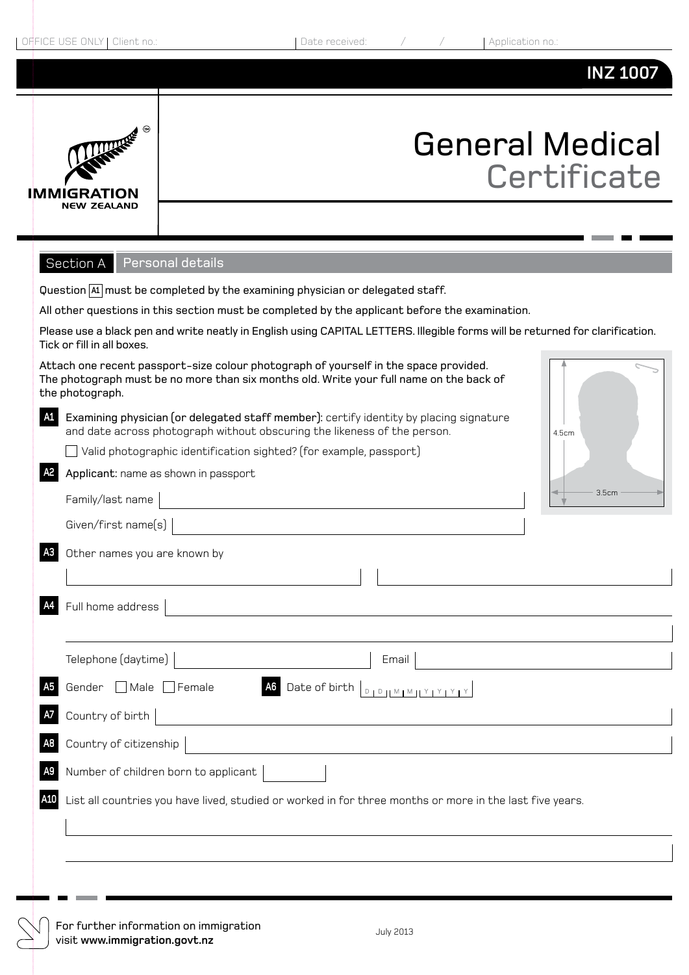### **INZ 1007**



# General Medical **Certificate**

Section A Personal details

|                | occaon A<br><b>I</b> GI SUITUI UGUUNS                                                                                                                                                                               |
|----------------|---------------------------------------------------------------------------------------------------------------------------------------------------------------------------------------------------------------------|
|                | Question $ A $ must be completed by the examining physician or delegated staff.                                                                                                                                     |
|                | All other questions in this section must be completed by the applicant before the examination.                                                                                                                      |
|                | Please use a black pen and write neatly in English using CAPITAL LETTERS. Illegible forms will be returned for clarification.<br>Tick or fill in all boxes.                                                         |
|                | Attach one recent passport-size colour photograph of yourself in the space provided.<br>The photograph must be no more than six months old. Write your full name on the back of<br>the photograph.                  |
| A1             | Examining physician (or delegated staff member): certify identity by placing signature<br>and date across photograph without obscuring the likeness of the person.<br>4.5cm                                         |
|                | $\Box$ Valid photographic identification sighted? (for example, passport)                                                                                                                                           |
| A2             | Applicant: name as shown in passport                                                                                                                                                                                |
|                | 3.5cm<br>Family/last name                                                                                                                                                                                           |
|                | Given/first name(s)                                                                                                                                                                                                 |
| A <sub>3</sub> | Other names you are known by                                                                                                                                                                                        |
|                |                                                                                                                                                                                                                     |
|                | Full home address                                                                                                                                                                                                   |
|                | Telephone (daytime)<br>Email                                                                                                                                                                                        |
|                | Gender Male Female<br>Date of birth<br>$\begin{array}{c c c c c c} \hline \textbf{D} & \textbf{D} & \textbf{M} & \textbf{M} & \textbf{M} & \textbf{Y} & \textbf{Y} & \textbf{Y} & \textbf{Y} \\ \hline \end{array}$ |
|                | Country of birth                                                                                                                                                                                                    |
|                | Country of citizenship                                                                                                                                                                                              |
|                | Number of children born to applicant                                                                                                                                                                                |
| A10            | List all countries you have lived, studied or worked in for three months or more in the last five years.                                                                                                            |
|                |                                                                                                                                                                                                                     |
|                |                                                                                                                                                                                                                     |
|                |                                                                                                                                                                                                                     |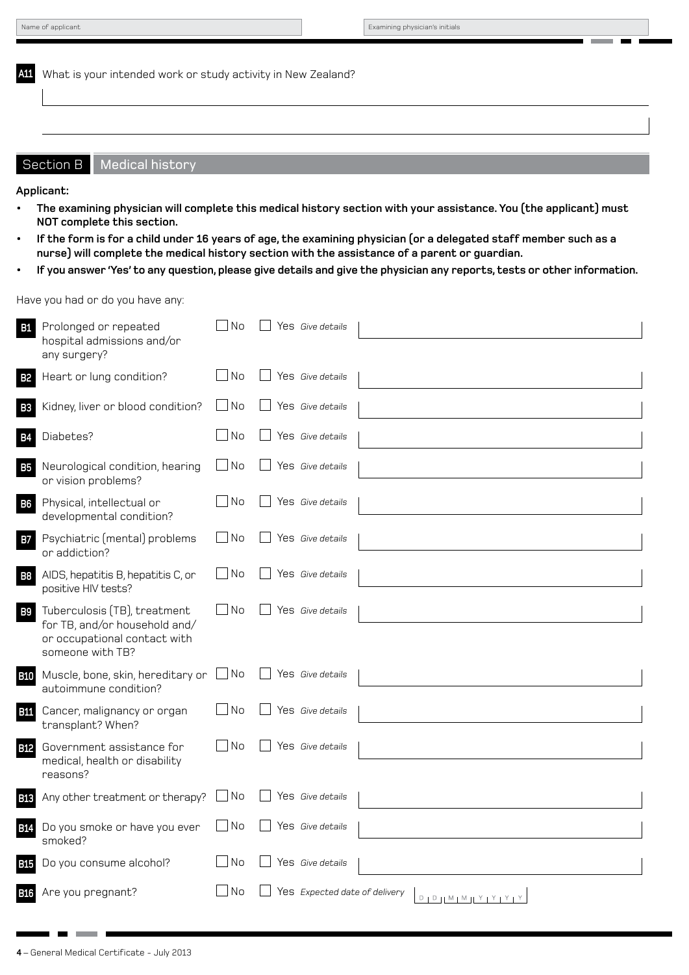**A11** What is your intended work or study activity in New Zealand?

#### Section B | Medical history

**Applicant:** 

- The examining physician will complete this medical history section with your assistance. You (the applicant) must **NOT complete this section.**
- **• If the form is for a child under 16 years of age, the examining physician (or a delegated staff member such as a nurse) will complete the medical history section with the assistance of a parent or guardian.**
- If you answer 'Yes' to any question, please give details and give the physician any reports, tests or other information.

#### Have you had or do you have any:

| <b>B1</b>  | Prolonged or repeated<br>hospital admissions and/or<br>any surgery?                                               | <b>No</b> | Yes Give details              |                                 |
|------------|-------------------------------------------------------------------------------------------------------------------|-----------|-------------------------------|---------------------------------|
| <b>B2</b>  | Heart or lung condition?                                                                                          | l No      | Yes Give details              |                                 |
| <b>B3</b>  | Kidney, liver or blood condition?                                                                                 | No        | Yes Give details              |                                 |
| B4         | Diabetes?                                                                                                         | - I No    | Yes Give details              |                                 |
| <b>B5</b>  | Neurological condition, hearing<br>or vision problems?                                                            | No        | Yes Give details              |                                 |
| <b>B6</b>  | Physical, intellectual or<br>developmental condition?                                                             | $\neg$ No | Yes Give details              |                                 |
| <b>B7</b>  | Psychiatric (mental) problems<br>or addiction?                                                                    | $\Box$ No | Yes Give details              |                                 |
| <b>B8</b>  | AIDS, hepatitis B, hepatitis C, or<br>positive HIV tests?                                                         | No        | Yes Give details              |                                 |
| <b>B9</b>  | Tuberculosis (TB), treatment<br>for TB, and/or household and/<br>or occupational contact with<br>someone with TB? | $\Box$ No | Yes Give details              |                                 |
| <b>B10</b> | Muscle, bone, skin, hereditary or $\Box$ No<br>autoimmune condition?                                              |           | Yes Give details              |                                 |
| <b>B11</b> | Cancer, malignancy or organ<br>transplant? When?                                                                  | No        | Yes Give details              |                                 |
| <b>B12</b> | Government assistance for<br>medical, health or disability<br>reasons?                                            | No        | Yes Give details              |                                 |
| <b>B13</b> | Any other treatment or therapy?                                                                                   | No        | Yes Give details              |                                 |
| <b>B14</b> | Do you smoke or have you ever<br>smoked?                                                                          | No        | Yes Give details              |                                 |
| <b>B15</b> | Do you consume alcohol?                                                                                           | No        | Yes Give details              |                                 |
| <b>B16</b> | Are you pregnant?                                                                                                 | No        | Yes Expected date of delivery | $D + D + M + M + Y + Y + Y + Y$ |

m.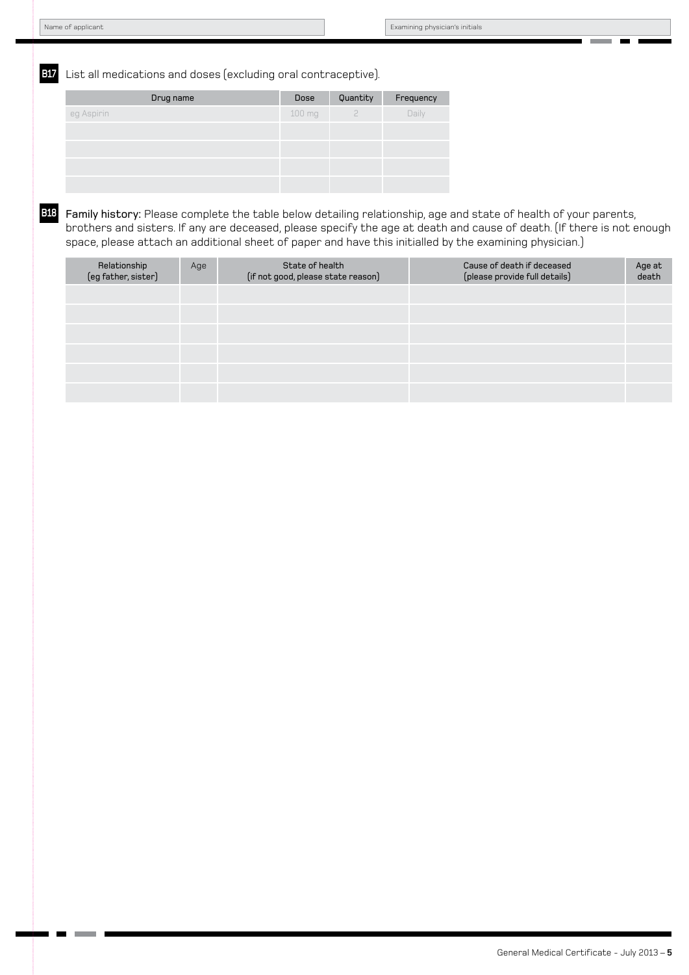**B17** List all medications and doses (excluding oral contraceptive).

| Drug name  | Dose   | Quantity  | Frequency |
|------------|--------|-----------|-----------|
| eg Aspirin | 100 mg | $\supset$ | Daily     |
|            |        |           |           |
|            |        |           |           |
|            |        |           |           |
|            |        |           |           |

**B18** Family history: Please complete the table below detailing relationship, age and state of health of your parents, brothers and sisters. If any are deceased, please specify the age at death and cause of death. (If there is not enough space, please attach an additional sheet of paper and have this initialled by the examining physician.)

| Relationship<br>(eg father, sister) | Age | State of health<br>(if not good, please state reason) | Cause of death if deceased<br>(please provide full details) | Age at<br>death |
|-------------------------------------|-----|-------------------------------------------------------|-------------------------------------------------------------|-----------------|
|                                     |     |                                                       |                                                             |                 |
|                                     |     |                                                       |                                                             |                 |
|                                     |     |                                                       |                                                             |                 |
|                                     |     |                                                       |                                                             |                 |
|                                     |     |                                                       |                                                             |                 |
|                                     |     |                                                       |                                                             |                 |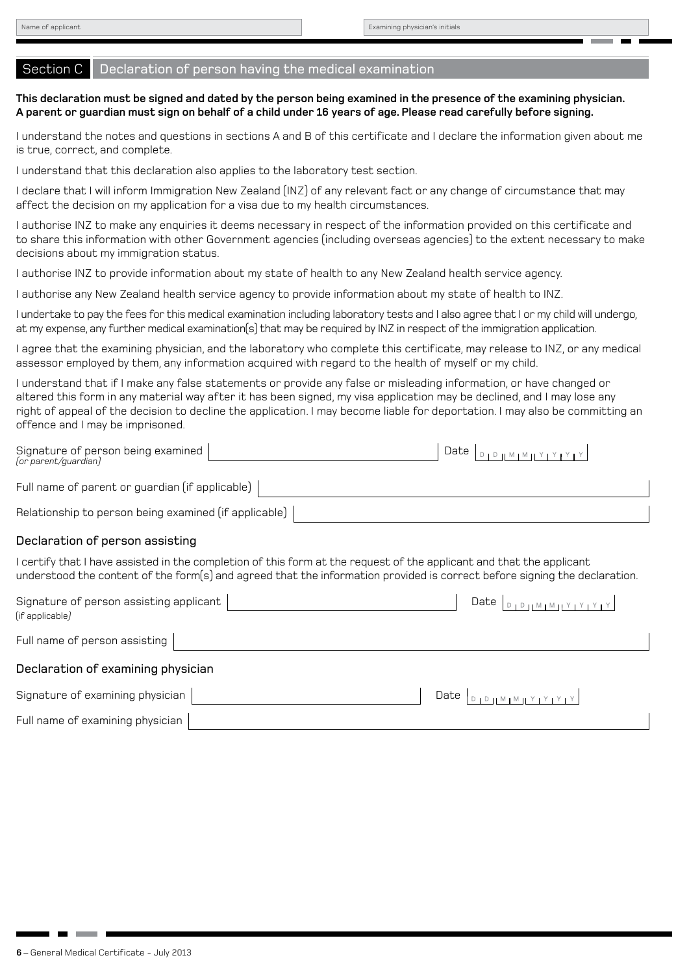#### Section C Declaration of person having the medical examination

#### **This declaration must be signed and dated by the person being examined in the presence of the examining physician. A parent or guardian must sign on behalf of a child under 16 years of age. Please read carefully before signing.**

I understand the notes and questions in sections A and B of this certificate and I declare the information given about me is true, correct, and complete.

I understand that this declaration also applies to the laboratory test section.

I declare that I will inform Immigration New Zealand (INZ) of any relevant fact or any change of circumstance that may affect the decision on my application for a visa due to my health circumstances.

I authorise INZ to make any enquiries it deems necessary in respect of the information provided on this certificate and to share this information with other Government agencies (including overseas agencies) to the extent necessary to make decisions about my immigration status.

I authorise INZ to provide information about my state of health to any New Zealand health service agency.

I authorise any New Zealand health service agency to provide information about my state of health to INZ.

I undertake to pay the fees for this medical examination including laboratory tests and I also agree that I or my child will undergo, at my expense, any further medical examination(s) that may be required by INZ in respect of the immigration application.

I agree that the examining physician, and the laboratory who complete this certificate, may release to INZ, or any medical assessor employed by them, any information acquired with regard to the health of myself or my child.

I understand that if I make any false statements or provide any false or misleading information, or have changed or altered this form in any material way after it has been signed, my visa application may be declined, and I may lose any right of appeal of the decision to decline the application. I may become liable for deportation. I may also be committing an offence and I may be imprisoned.

| Signature of person being examined  <br>(or parent/quardian) | $\left[ \Delta t e \right]_{\text{D}}$ |
|--------------------------------------------------------------|----------------------------------------|
| Full name of parent or guardian (if applicable)              |                                        |
| Relationship to person being examined (if applicable)        |                                        |

#### Declaration of person assisting

I certify that I have assisted in the completion of this form at the request of the applicant and that the applicant understood the content of the form(s) and agreed that the information provided is correct before signing the declaration.

| Signature of person assisting applicant  <br>(if applicable) | $[0]$ $[0]$ $[0]$ $[0]$ $[0]$ $[0]$ $[0]$ $[0]$ $[0]$ $[0]$ $[0]$ $[0]$ $[0]$<br>Date I |
|--------------------------------------------------------------|-----------------------------------------------------------------------------------------|
| Full name of person assisting                                |                                                                                         |
| Declaration of examining physician                           |                                                                                         |
| Signature of examining physician                             | Date $ _{D_1D_1 M_1M_1Y_1Y_1Y_1Y_1}$                                                    |
| Full name of examining physician                             |                                                                                         |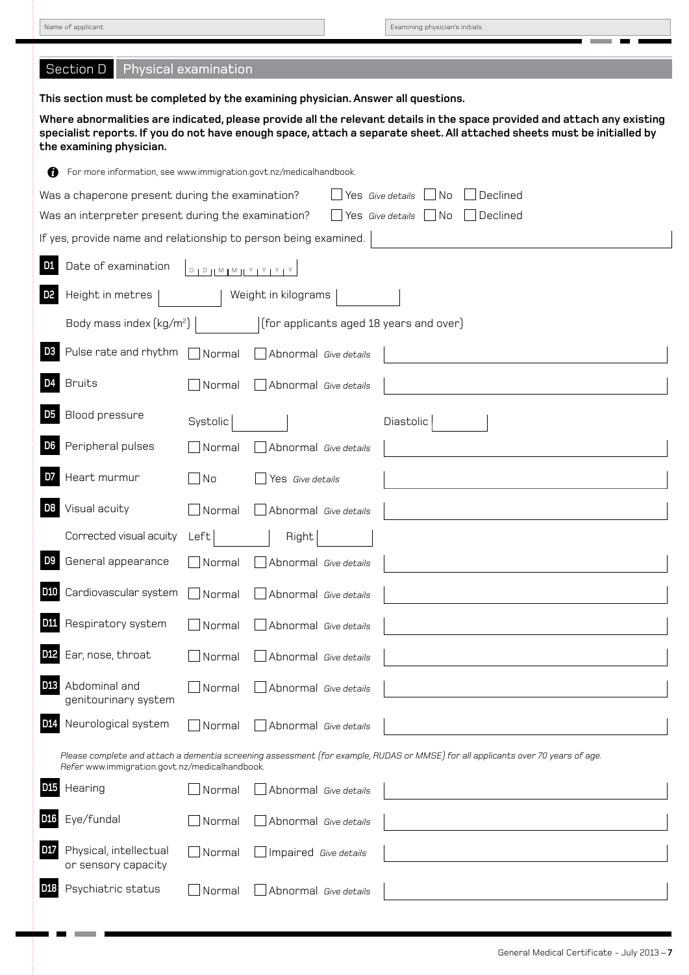л ÷,

Name of applicant **Examining physician's initials** 

 $\sim 100$ 

**The Contract of Contract of Contract of Contract of Contract of Contract of Contract of Contract o** - n

| Section D<br>Physical examination                                                                                                                                                                                                                                               |
|---------------------------------------------------------------------------------------------------------------------------------------------------------------------------------------------------------------------------------------------------------------------------------|
| This section must be completed by the examining physician. Answer all questions.                                                                                                                                                                                                |
| Where abnormalities are indicated, please provide all the relevant details in the space provided and attach any existing<br>specialist reports. If you do not have enough space, attach a separate sheet. All attached sheets must be initialled by<br>the examining physician. |
| For more information, see www.immigration.govt.nz/medicalhandbook.<br>Ø                                                                                                                                                                                                         |
| Was a chaperone present during the examination?<br>Yes Give details<br>No<br>Declined_                                                                                                                                                                                          |
| Yes $Give details$ No<br>$\Box$ Declined<br>Was an interpreter present during the examination?                                                                                                                                                                                  |
| If yes, provide name and relationship to person being examined.                                                                                                                                                                                                                 |
| Date of examination<br>$D + D + M + M + Y + Y + Y + Y$                                                                                                                                                                                                                          |
| Height in metres<br>Weight in kilograms                                                                                                                                                                                                                                         |
| (for applicants aged 18 years and over)<br>Body mass index $\left(\frac{kg}{m^2}\right)$                                                                                                                                                                                        |
| Pulse rate and rhythm<br>D3<br>$\exists$ Normal<br>Abnormal Give details                                                                                                                                                                                                        |
| <b>Bruits</b><br>Normal<br>Abnormal Give details                                                                                                                                                                                                                                |
| Blood pressure<br>Systolic<br>Diastolic                                                                                                                                                                                                                                         |
| Peripheral pulses<br>Normal<br>Abnormal Give details                                                                                                                                                                                                                            |
| Heart murmur<br>∣No<br>Yes Give details                                                                                                                                                                                                                                         |
| Visual acuity<br>Normal<br>Abnormal Give details                                                                                                                                                                                                                                |
| Corrected visual acuity<br>Left<br>Right                                                                                                                                                                                                                                        |
| General appearance<br>Normal<br>Abnormal Give details                                                                                                                                                                                                                           |
| Cardiovascular system<br>Normal<br>Abnormal Give details                                                                                                                                                                                                                        |
| Respiratory system<br>Normal<br>Abnormal Give details                                                                                                                                                                                                                           |
| Ear, nose, throat<br>Normal<br>Abnormal Give details                                                                                                                                                                                                                            |
| <b>D13</b><br>Abdominal and<br>Normal<br>Abnormal Give details<br>genitourinary system                                                                                                                                                                                          |
| D <sub>14</sub><br>Neurological system<br>Normal<br>Abnormal Give details                                                                                                                                                                                                       |
| Please complete and attach a dementia screening assessment (for example, RUDAS or MMSE) for all applicants over 70 years of age.<br>Refer www.immigration.govt.nz/medicalhandbook.                                                                                              |
| Hearing<br>Normal<br>Abnormal Give details                                                                                                                                                                                                                                      |
| Eye/fundal<br>Normal<br>Abnormal Give details                                                                                                                                                                                                                                   |
| Physical, intellectual<br>D17<br>$\rfloor$ Normal<br>Impaired Give details<br>or sensory capacity                                                                                                                                                                               |
| Psychiatric status<br>D18<br>Normal<br>Abnormal Give details                                                                                                                                                                                                                    |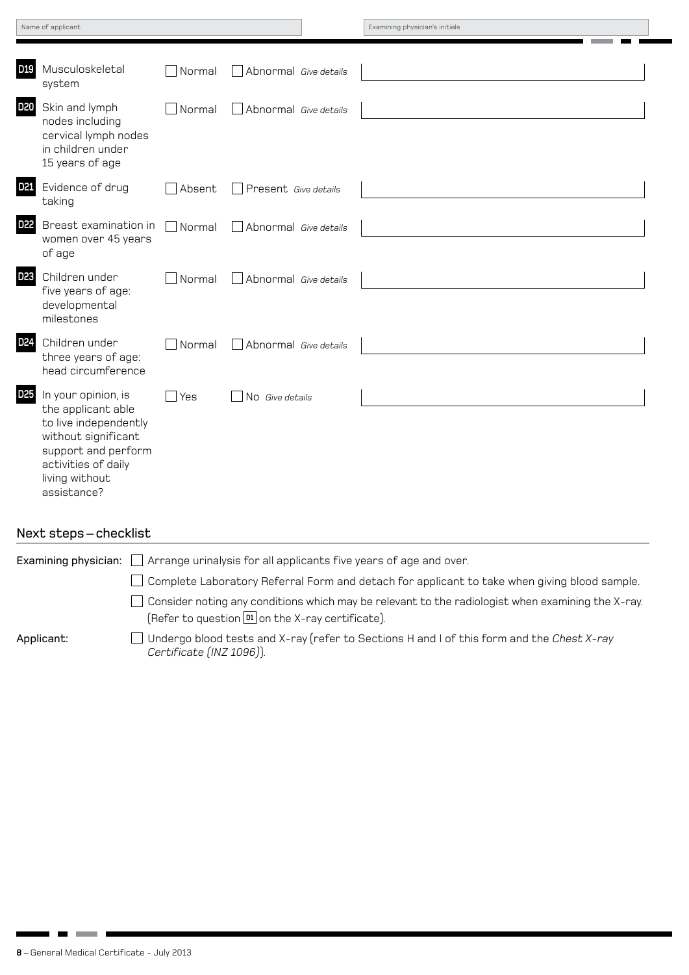| Name of applicant |  |  |
|-------------------|--|--|
|                   |  |  |

Examining physician's initials

| <b>D19</b>      | Musculoskeletal<br>system                                                                                                                                                | Normal | Abnormal Give details |  |
|-----------------|--------------------------------------------------------------------------------------------------------------------------------------------------------------------------|--------|-----------------------|--|
| <b>D20</b>      | Skin and lymph<br>nodes including<br>cervical lymph nodes<br>in children under<br>15 years of age                                                                        | Normal | Abnormal Give details |  |
| D <sub>21</sub> | Evidence of drug<br>taking                                                                                                                                               | Absent | Present Give details  |  |
| D <sub>22</sub> | Breast examination in<br>women over 45 years<br>of age                                                                                                                   | Normal | Abnormal Give details |  |
| D <sub>23</sub> | Children under<br>five years of age:<br>developmental<br>milestones                                                                                                      | Normal | Abnormal Give details |  |
| D <sub>24</sub> | Children under<br>three years of age:<br>head circumference                                                                                                              | Normal | Abnormal Give details |  |
| D <sub>25</sub> | In your opinion, is<br>the applicant able<br>to live independently<br>without significant<br>support and perform<br>activities of daily<br>living without<br>assistance? | Yes    | No Give details       |  |

#### Next steps – checklist

|            | Examining physician: $\Box$ Arrange urinalysis for all applicants five years of age and over.                                                                                |
|------------|------------------------------------------------------------------------------------------------------------------------------------------------------------------------------|
|            | $\Box$ Complete Laboratory Referral Form and detach for applicant to take when giving blood sample.                                                                          |
|            | $\Box$ Consider noting any conditions which may be relevant to the radiologist when examining the X-ray.<br>$[Refer to question \boxed{\text{M}} on the X-ray certificate).$ |
| Applicant: | Undergo blood tests and X-ray (refer to Sections H and I of this form and the Chest X-ray<br>Certificate (INZ 1096)).                                                        |

**Contract**  $\blacksquare$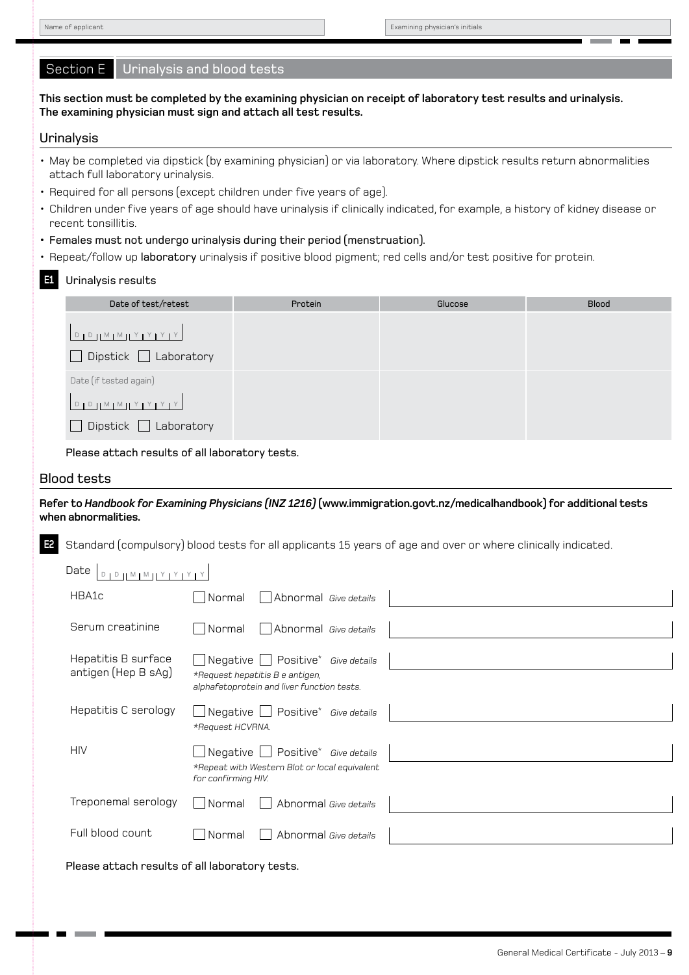п

**College** a.  $\blacksquare$ 

| Section E<br>Urinalysis and blood tests                                                                                                                                           |                                                 |                                                                                                                   |                                                                                                                 |                                                                                                                                |
|-----------------------------------------------------------------------------------------------------------------------------------------------------------------------------------|-------------------------------------------------|-------------------------------------------------------------------------------------------------------------------|-----------------------------------------------------------------------------------------------------------------|--------------------------------------------------------------------------------------------------------------------------------|
| This section must be completed by the examining physician on receipt of laboratory test results and urinalysis.<br>The examining physician must sign and attach all test results. |                                                 |                                                                                                                   |                                                                                                                 |                                                                                                                                |
| Urinalysis                                                                                                                                                                        |                                                 |                                                                                                                   |                                                                                                                 |                                                                                                                                |
| • May be completed via dipstick (by examining physician) or via laboratory. Where dipstick results return abnormalities<br>attach full laboratory urinalysis.                     |                                                 |                                                                                                                   |                                                                                                                 |                                                                                                                                |
| • Required for all persons (except children under five years of age).                                                                                                             |                                                 |                                                                                                                   |                                                                                                                 |                                                                                                                                |
| recent tonsillitis.                                                                                                                                                               |                                                 |                                                                                                                   |                                                                                                                 | • Children under five years of age should have urinalysis if clinically indicated, for example, a history of kidney disease or |
| • Females must not undergo urinalysis during their period (menstruation).                                                                                                         |                                                 |                                                                                                                   |                                                                                                                 |                                                                                                                                |
|                                                                                                                                                                                   |                                                 |                                                                                                                   | • Repeat/follow up laboratory urinalysis if positive blood pigment; red cells and/or test positive for protein. |                                                                                                                                |
| Urinalysis results<br>E1                                                                                                                                                          |                                                 |                                                                                                                   |                                                                                                                 |                                                                                                                                |
| Date of test/retest                                                                                                                                                               |                                                 | Protein                                                                                                           | Glucose                                                                                                         | <b>Blood</b>                                                                                                                   |
| $D D D M M N Y Y Y Y$                                                                                                                                                             |                                                 |                                                                                                                   |                                                                                                                 |                                                                                                                                |
| Dipstick $\Box$ Laboratory                                                                                                                                                        |                                                 |                                                                                                                   |                                                                                                                 |                                                                                                                                |
| Date (if tested again)                                                                                                                                                            |                                                 |                                                                                                                   |                                                                                                                 |                                                                                                                                |
| $D + D + M + M + Y + Y + Y + Y$                                                                                                                                                   |                                                 |                                                                                                                   |                                                                                                                 |                                                                                                                                |
| $Dipstick$ $\Box$ Laboratory                                                                                                                                                      |                                                 |                                                                                                                   |                                                                                                                 |                                                                                                                                |
| Please attach results of all laboratory tests.                                                                                                                                    |                                                 |                                                                                                                   |                                                                                                                 |                                                                                                                                |
| <b>Blood tests</b>                                                                                                                                                                |                                                 |                                                                                                                   |                                                                                                                 |                                                                                                                                |
| Refer to Handbook for Examining Physicians (INZ 1216) (www.immigration.govt.nz/medicalhandbook) for additional tests<br>when abnormalities.                                       |                                                 |                                                                                                                   |                                                                                                                 |                                                                                                                                |
| Standard (compulsory) blood tests for all applicants 15 years of age and over or where clinically indicated.<br>E2                                                                |                                                 |                                                                                                                   |                                                                                                                 |                                                                                                                                |
| Date $D_{D,D}$ $M_{M}$ $Y$ $Y$ $Y$ $Y$                                                                                                                                            |                                                 |                                                                                                                   |                                                                                                                 |                                                                                                                                |
| HBA1c                                                                                                                                                                             | Normal                                          | Abnormal Give details                                                                                             |                                                                                                                 |                                                                                                                                |
| Serum creatinine                                                                                                                                                                  | Normal                                          | Abnormal Give details                                                                                             |                                                                                                                 |                                                                                                                                |
| Hepatitis B surface<br>antigen (Hep B sAg)                                                                                                                                        | $\Box$ Negative $\parallel$                     | $\Box$ Positive*<br>Give details<br>*Request hepatitis B e antigen,<br>alphafetoprotein and liver function tests. |                                                                                                                 |                                                                                                                                |
| Hepatitis C serology                                                                                                                                                              | $\Box$ Negative $\parallel$<br>*Request HCVRNA. | $\Box$ Positive* Give details                                                                                     |                                                                                                                 |                                                                                                                                |
| <b>HIV</b>                                                                                                                                                                        | Negative<br>for confirming HIV.                 | Positive* Give details<br>*Repeat with Western Blot or local equivalent                                           |                                                                                                                 |                                                                                                                                |
| Treponemal serology                                                                                                                                                               | Normal                                          | Abnormal Give details                                                                                             |                                                                                                                 |                                                                                                                                |
| Full blood count                                                                                                                                                                  | Normal                                          | Abnormal Give details                                                                                             |                                                                                                                 |                                                                                                                                |
| Please attach results of all laboratory tests.                                                                                                                                    |                                                 |                                                                                                                   |                                                                                                                 |                                                                                                                                |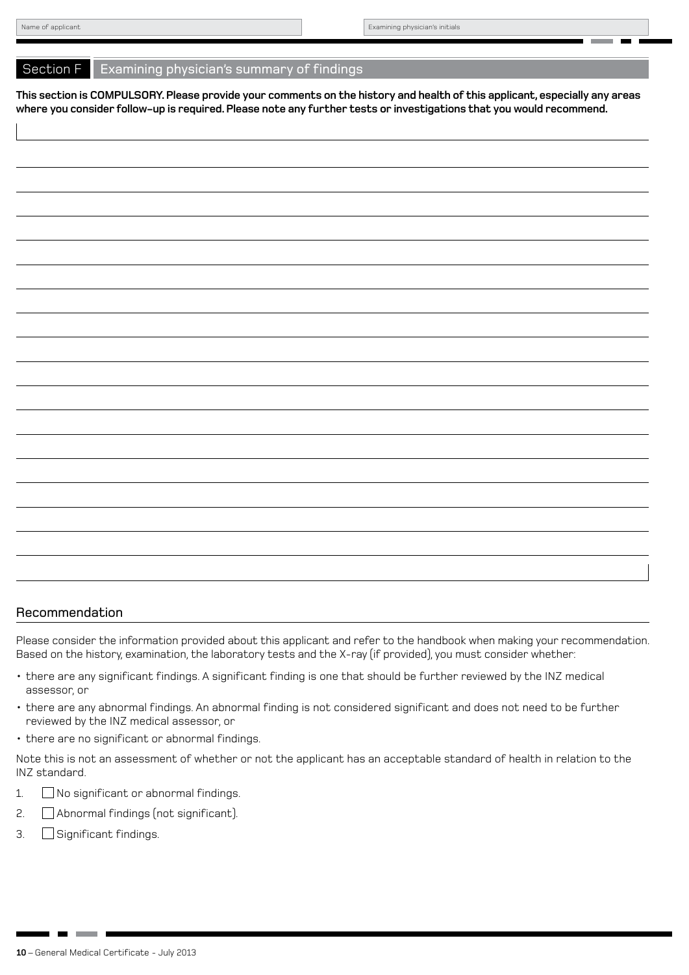#### Section F Examining physician's summary of findings

**This section is COMPULSORY. Please provide your comments on the history and health of this applicant, especially any areas where you consider follow-up is required. Please note any further tests or investigations that you would recommend.**

#### Recommendation

Please consider the information provided about this applicant and refer to the handbook when making your recommendation. Based on the history, examination, the laboratory tests and the X-ray (if provided), you must consider whether:

- • there are any significant findings. A significant finding is one that should be further reviewed by the INZ medical assessor, or
- • there are any abnormal findings. An abnormal finding is not considered significant and does not need to be further reviewed by the INZ medical assessor, or
- there are no significant or abnormal findings.

Note this is not an assessment of whether or not the applicant has an acceptable standard of health in relation to the INZ standard.

- 1. No significant or abnormal findings.
- 2. Abnormal findings (not significant).
- 3. Significant findings.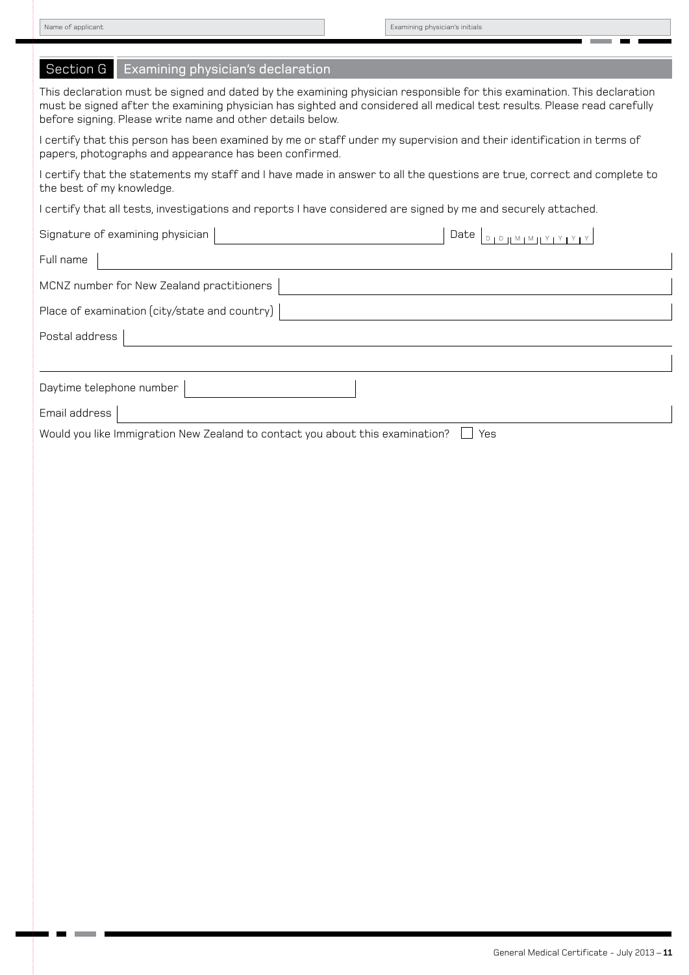T. m.

п

**College** a.  $\blacksquare$ 

| Examining physician's declaration<br>Section G                                                                                                                                                                                                                                                                   |  |  |
|------------------------------------------------------------------------------------------------------------------------------------------------------------------------------------------------------------------------------------------------------------------------------------------------------------------|--|--|
| This declaration must be signed and dated by the examining physician responsible for this examination. This declaration<br>must be signed after the examining physician has sighted and considered all medical test results. Please read carefully<br>before signing. Please write name and other details below. |  |  |
| I certify that this person has been examined by me or staff under my supervision and their identification in terms of<br>papers, photographs and appearance has been confirmed.                                                                                                                                  |  |  |
| I certify that the statements my staff and I have made in answer to all the questions are true, correct and complete to<br>the best of my knowledge.                                                                                                                                                             |  |  |
| I certify that all tests, investigations and reports I have considered are signed by me and securely attached.                                                                                                                                                                                                   |  |  |
| Signature of examining physician<br>Date $\Box$                                                                                                                                                                                                                                                                  |  |  |
| Full name                                                                                                                                                                                                                                                                                                        |  |  |
| MCNZ number for New Zealand practitioners                                                                                                                                                                                                                                                                        |  |  |
| Place of examination (city/state and country)                                                                                                                                                                                                                                                                    |  |  |
| Postal address                                                                                                                                                                                                                                                                                                   |  |  |
|                                                                                                                                                                                                                                                                                                                  |  |  |
| Daytime telephone number                                                                                                                                                                                                                                                                                         |  |  |
| Email address                                                                                                                                                                                                                                                                                                    |  |  |
| Would you like Immigration New Zealand to contact you about this examination?<br>Yes                                                                                                                                                                                                                             |  |  |
|                                                                                                                                                                                                                                                                                                                  |  |  |
|                                                                                                                                                                                                                                                                                                                  |  |  |
|                                                                                                                                                                                                                                                                                                                  |  |  |
|                                                                                                                                                                                                                                                                                                                  |  |  |
|                                                                                                                                                                                                                                                                                                                  |  |  |
|                                                                                                                                                                                                                                                                                                                  |  |  |
|                                                                                                                                                                                                                                                                                                                  |  |  |
|                                                                                                                                                                                                                                                                                                                  |  |  |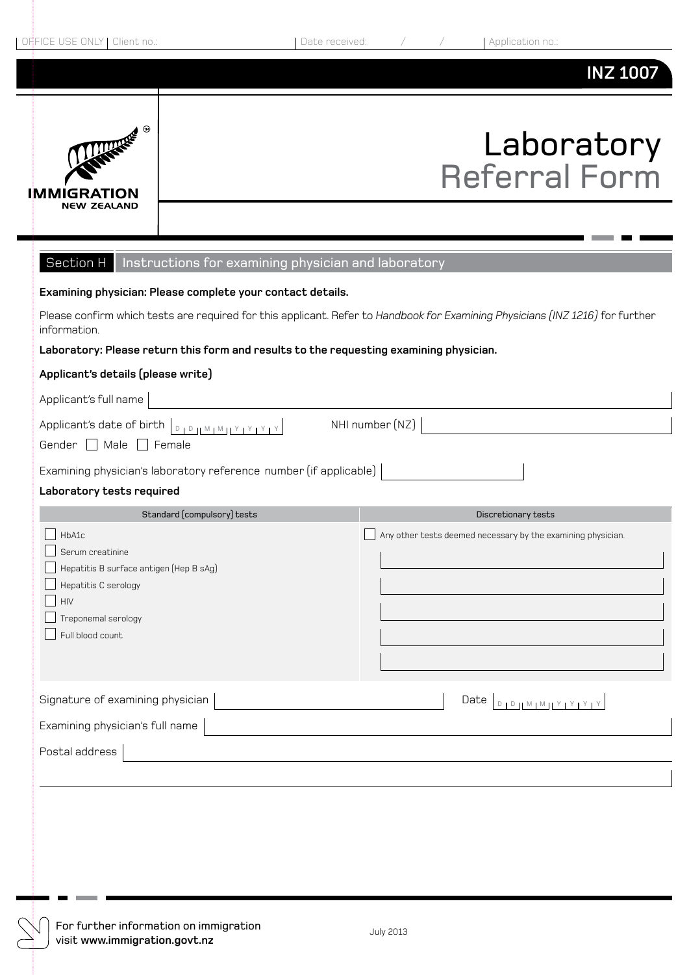## **INZ 1007**



## Laboratory Referral Form

| Section H   Instructions for examining physician and laboratory                                                                                |                                                              |  |  |
|------------------------------------------------------------------------------------------------------------------------------------------------|--------------------------------------------------------------|--|--|
| Examining physician: Please complete your contact details.                                                                                     |                                                              |  |  |
| Please confirm which tests are required for this applicant. Refer to Handbook for Examining Physicians (INZ 1216) for further<br>information.  |                                                              |  |  |
| Laboratory: Please return this form and results to the requesting examining physician.                                                         |                                                              |  |  |
| Applicant's details (please write)                                                                                                             |                                                              |  |  |
| Applicant's full name                                                                                                                          |                                                              |  |  |
| Applicant's date of birth <b>DIPJIMIMILY PYPY</b><br>Gender Male Female                                                                        | NHI number (NZ)                                              |  |  |
| Examining physician's laboratory reference number (if applicable)                                                                              |                                                              |  |  |
| Laboratory tests required                                                                                                                      |                                                              |  |  |
| Standard (compulsory) tests                                                                                                                    | Discretionary tests                                          |  |  |
| HbA1c<br>Serum creatinine<br>Hepatitis B surface antigen (Hep B sAg)<br>Hepatitis C serology<br>HIV<br>Treponemal serology<br>Full blood count | Any other tests deemed necessary by the examining physician. |  |  |
| Signature of examining physician<br>Examining physician's full name                                                                            | Date D D M M H Y Y Y Y                                       |  |  |
|                                                                                                                                                |                                                              |  |  |
| Postal address                                                                                                                                 |                                                              |  |  |
|                                                                                                                                                |                                                              |  |  |
|                                                                                                                                                |                                                              |  |  |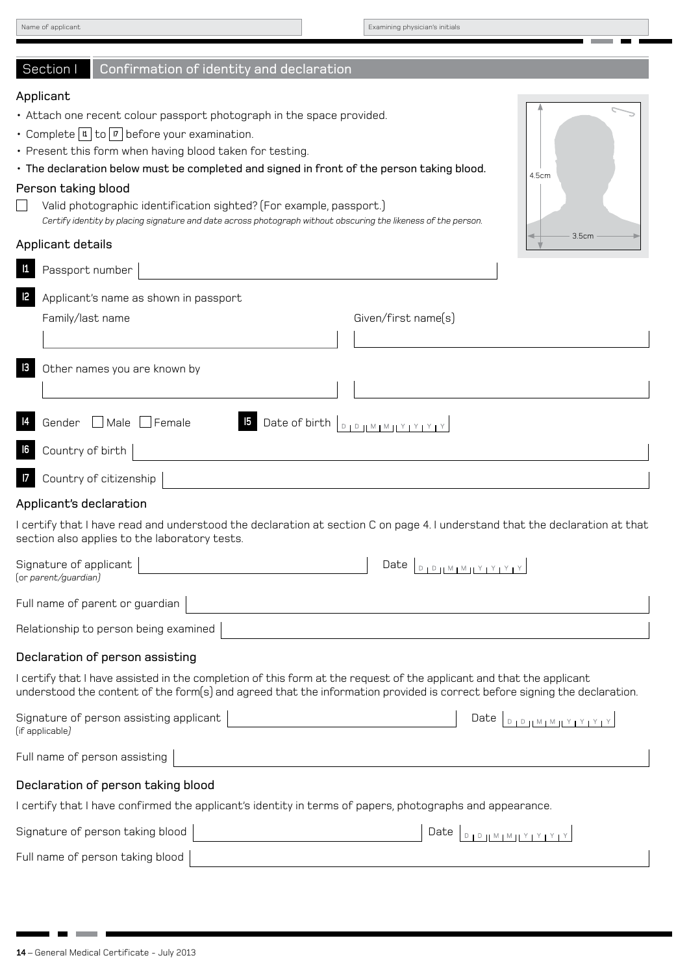| Name of applicant |  |  |
|-------------------|--|--|
|                   |  |  |

Examining physician's initials

#### Section I Confirmation of identity and declaration

#### Applicant

- Attach one recent colour passport photograph in the space provided.
- Complete **1** to **7** before your examination.
- Present this form when having blood taken for testing.
- The declaration below must be completed and signed in front of the person taking blood.

#### Person taking blood

 $\Box$ Valid photographic identification sighted? (For example, passport.) *Certify identity by placing signature and date across photograph without obscuring the likeness of the person.*

#### Applicant details

|               | Passport number                                                                                                                                                                                                                                   |
|---------------|---------------------------------------------------------------------------------------------------------------------------------------------------------------------------------------------------------------------------------------------------|
| $\mathsf{I2}$ | Applicant's name as shown in passport                                                                                                                                                                                                             |
|               | Given/first name(s)<br>Family/last name                                                                                                                                                                                                           |
|               |                                                                                                                                                                                                                                                   |
| $\vert$ 3     | Other names you are known by                                                                                                                                                                                                                      |
|               | Gender Male Female<br><b>5</b> Date of birth <b>D</b> D M M M Y Y Y Y Y                                                                                                                                                                           |
| 6             | Country of birth                                                                                                                                                                                                                                  |
|               | Country of citizenship                                                                                                                                                                                                                            |
|               | Applicant's declaration                                                                                                                                                                                                                           |
|               | I certify that I have read and understood the declaration at section C on page 4. I understand that the declaration at that<br>section also applies to the laboratory tests.                                                                      |
|               | Signature of applicant<br>(or parent/guardian)                                                                                                                                                                                                    |
|               | Full name of parent or guardian                                                                                                                                                                                                                   |
|               | Relationship to person being examined                                                                                                                                                                                                             |
|               | Declaration of person assisting                                                                                                                                                                                                                   |
|               | I certify that I have assisted in the completion of this form at the request of the applicant and that the applicant<br>understood the content of the form(s) and agreed that the information provided is correct before signing the declaration. |
|               | Signature of person assisting applicant<br>Date $D_{L}$<br>(if applicable)                                                                                                                                                                        |
|               | Full name of person assisting                                                                                                                                                                                                                     |
|               | Declaration of person taking blood                                                                                                                                                                                                                |
|               | I certify that I have confirmed the applicant's identity in terms of papers, photographs and appearance.                                                                                                                                          |
|               | Signature of person taking blood<br>Date<br>$D + D + M + M + Y + Y + Y + Y$                                                                                                                                                                       |
|               | Full name of person taking blood                                                                                                                                                                                                                  |